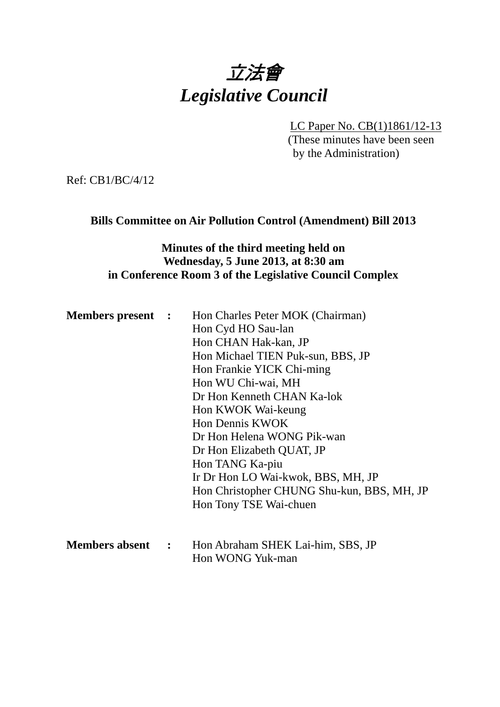

LC Paper No. CB(1)1861/12-13

(These minutes have been seen by the Administration)

Ref: CB1/BC/4/12

## **Bills Committee on Air Pollution Control (Amendment) Bill 2013**

# **Minutes of the third meeting held on Wednesday, 5 June 2013, at 8:30 am in Conference Room 3 of the Legislative Council Complex**

| <b>Members present :</b> | Hon Charles Peter MOK (Chairman)           |
|--------------------------|--------------------------------------------|
|                          | Hon Cyd HO Sau-lan                         |
|                          | Hon CHAN Hak-kan, JP                       |
|                          | Hon Michael TIEN Puk-sun, BBS, JP          |
|                          | Hon Frankie YICK Chi-ming                  |
|                          | Hon WU Chi-wai, MH                         |
|                          | Dr Hon Kenneth CHAN Ka-lok                 |
|                          | Hon KWOK Wai-keung                         |
|                          | <b>Hon Dennis KWOK</b>                     |
|                          | Dr Hon Helena WONG Pik-wan                 |
|                          | Dr Hon Elizabeth QUAT, JP                  |
|                          | Hon TANG Ka-piu                            |
|                          | Ir Dr Hon LO Wai-kwok, BBS, MH, JP         |
|                          | Hon Christopher CHUNG Shu-kun, BBS, MH, JP |
|                          | Hon Tony TSE Wai-chuen                     |
|                          |                                            |
|                          |                                            |

| <b>Members absent</b> | Hon Abraham SHEK Lai-him, SBS, JP |
|-----------------------|-----------------------------------|
|                       | Hon WONG Yuk-man                  |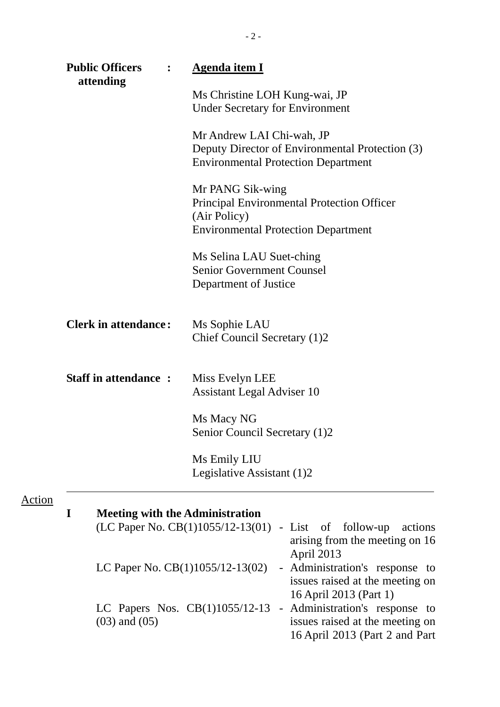|               | <b>Public Officers</b><br>$\ddot{\cdot}$    | <b>Agenda item I</b>                                                                                                                                         |  |  |
|---------------|---------------------------------------------|--------------------------------------------------------------------------------------------------------------------------------------------------------------|--|--|
|               | attending                                   | Ms Christine LOH Kung-wai, JP<br><b>Under Secretary for Environment</b>                                                                                      |  |  |
|               |                                             | Mr Andrew LAI Chi-wah, JP<br>Deputy Director of Environmental Protection (3)<br><b>Environmental Protection Department</b>                                   |  |  |
|               |                                             | Mr PANG Sik-wing<br><b>Principal Environmental Protection Officer</b><br>(Air Policy)<br><b>Environmental Protection Department</b>                          |  |  |
|               |                                             | Ms Selina LAU Suet-ching<br><b>Senior Government Counsel</b><br>Department of Justice                                                                        |  |  |
|               | <b>Clerk in attendance:</b>                 | Ms Sophie LAU<br>Chief Council Secretary (1)2                                                                                                                |  |  |
|               | <b>Staff in attendance:</b>                 | Miss Evelyn LEE<br><b>Assistant Legal Adviser 10</b>                                                                                                         |  |  |
|               |                                             | Ms Macy NG<br>Senior Council Secretary (1)2                                                                                                                  |  |  |
|               |                                             | Ms Emily LIU<br>Legislative Assistant (1)2                                                                                                                   |  |  |
| <u>Action</u> | I<br><b>Meeting with the Administration</b> | $(LC$ Paper No. $CB(1)1055/12-13(01)$ - List of follow-up<br>actions<br>arising from the meeting on 16                                                       |  |  |
|               | LC Paper No. $CB(1)1055/12-13(02)$          | April 2013<br>- Administration's response to<br>issues raised at the meeting on                                                                              |  |  |
|               | $(03)$ and $(05)$                           | 16 April 2013 (Part 1)<br>LC Papers Nos. CB(1)1055/12-13 - Administration's response to<br>issues raised at the meeting on<br>16 April 2013 (Part 2 and Part |  |  |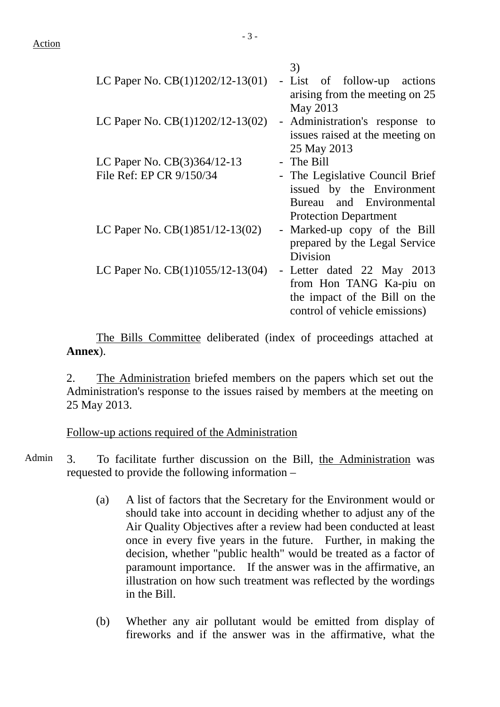|                                    | 3)                              |
|------------------------------------|---------------------------------|
| LC Paper No. CB(1)1202/12-13(01)   | - List of follow-up actions     |
|                                    | arising from the meeting on 25  |
|                                    | May 2013                        |
| LC Paper No. $CB(1)1202/12-13(02)$ | - Administration's response to  |
|                                    | issues raised at the meeting on |
|                                    | 25 May 2013                     |
| LC Paper No. CB(3)364/12-13        | - The Bill                      |
| File Ref: EP CR 9/150/34           | - The Legislative Council Brief |
|                                    | issued by the Environment       |
|                                    | Bureau and Environmental        |
|                                    | <b>Protection Department</b>    |
| LC Paper No. CB(1)851/12-13(02)    | - Marked-up copy of the Bill    |
|                                    | prepared by the Legal Service   |
|                                    | Division                        |
| LC Paper No. CB(1)1055/12-13(04)   | - Letter dated 22 May 2013      |
|                                    | from Hon TANG Ka-piu on         |
|                                    | the impact of the Bill on the   |
|                                    | control of vehicle emissions)   |
|                                    |                                 |

The Bills Committee deliberated (index of proceedings attached at **Annex**).

2. The Administration briefed members on the papers which set out the Administration's response to the issues raised by members at the meeting on 25 May 2013.

Follow-up actions required of the Administration

Admin 3. To facilitate further discussion on the Bill, the Administration was requested to provide the following information –

- (a) A list of factors that the Secretary for the Environment would or should take into account in deciding whether to adjust any of the Air Quality Objectives after a review had been conducted at least once in every five years in the future. Further, in making the decision, whether "public health" would be treated as a factor of paramount importance. If the answer was in the affirmative, an illustration on how such treatment was reflected by the wordings in the Bill.
- (b) Whether any air pollutant would be emitted from display of fireworks and if the answer was in the affirmative, what the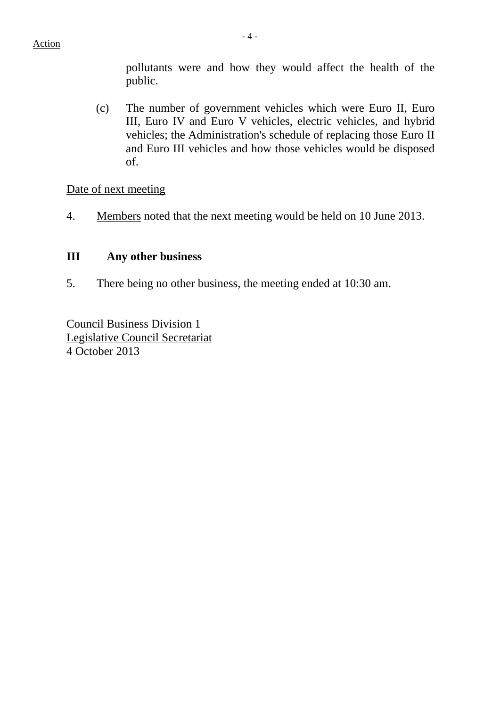pollutants were and how they would affect the health of the public.

(c) The number of government vehicles which were Euro II, Euro III, Euro IV and Euro V vehicles, electric vehicles, and hybrid vehicles; the Administration's schedule of replacing those Euro II and Euro III vehicles and how those vehicles would be disposed of.

Date of next meeting

4. Members noted that the next meeting would be held on 10 June 2013.

## **III Any other business**

5. There being no other business, the meeting ended at 10:30 am.

Council Business Division 1 Legislative Council Secretariat 4 October 2013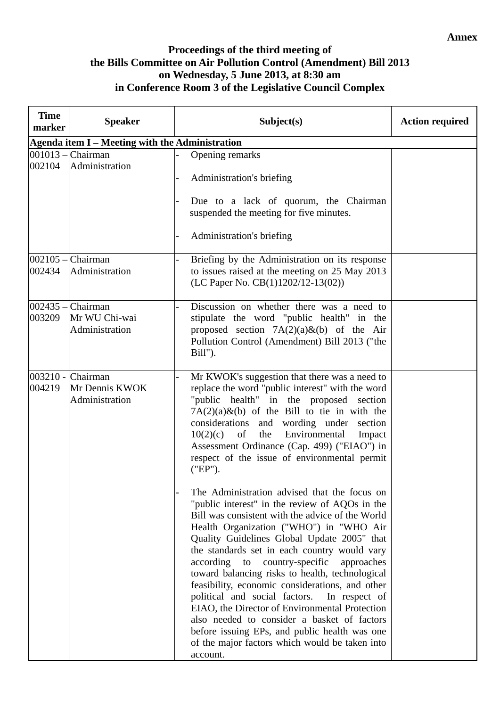#### **Annex**

## **Proceedings of the third meeting of the Bills Committee on Air Pollution Control (Amendment) Bill 2013 on Wednesday, 5 June 2013, at 8:30 am in Conference Room 3 of the Legislative Council Complex**

| <b>Time</b><br>marker | <b>Speaker</b>                                         | Subject(s)                                                                                                                                                                                                                                                                                                                                                                                                                                                                                                                                                                                                                                                                                                                                              | <b>Action required</b> |
|-----------------------|--------------------------------------------------------|---------------------------------------------------------------------------------------------------------------------------------------------------------------------------------------------------------------------------------------------------------------------------------------------------------------------------------------------------------------------------------------------------------------------------------------------------------------------------------------------------------------------------------------------------------------------------------------------------------------------------------------------------------------------------------------------------------------------------------------------------------|------------------------|
|                       | Agenda item I - Meeting with the Administration        |                                                                                                                                                                                                                                                                                                                                                                                                                                                                                                                                                                                                                                                                                                                                                         |                        |
| 002104                | $ 001013 - C$ hairman<br>Administration                | Opening remarks<br>Administration's briefing<br>Due to a lack of quorum, the Chairman<br>suspended the meeting for five minutes.<br>Administration's briefing                                                                                                                                                                                                                                                                                                                                                                                                                                                                                                                                                                                           |                        |
| 002434                | $002105$ – Chairman<br>Administration                  | Briefing by the Administration on its response<br>to issues raised at the meeting on 25 May 2013<br>(LC Paper No. CB(1)1202/12-13(02))                                                                                                                                                                                                                                                                                                                                                                                                                                                                                                                                                                                                                  |                        |
| 003209                | $002435$ – Chairman<br>Mr WU Chi-wai<br>Administration | Discussion on whether there was a need to<br>stipulate the word "public health" in the<br>proposed section $7A(2)(a)\&(b)$ of the Air<br>Pollution Control (Amendment) Bill 2013 ("the<br>Bill").                                                                                                                                                                                                                                                                                                                                                                                                                                                                                                                                                       |                        |
| 004219                | 003210 - Chairman<br>Mr Dennis KWOK<br>Administration  | Mr KWOK's suggestion that there was a need to<br>replace the word "public interest" with the word<br>"public health" in the proposed section<br>$7A(2)(a)$ &(b) of the Bill to tie in with the<br>considerations and wording under section<br>the<br>Environmental<br>10(2)(c)<br>of<br>Impact<br>Assessment Ordinance (Cap. 499) ("EIAO") in<br>respect of the issue of environmental permit<br>("EP").<br>The Administration advised that the focus on<br>"public interest" in the review of AQOs in the<br>Bill was consistent with the advice of the World<br>Health Organization ("WHO") in "WHO Air<br>Quality Guidelines Global Update 2005" that<br>the standards set in each country would vary<br>according to country-specific<br>approaches |                        |
|                       |                                                        | toward balancing risks to health, technological<br>feasibility, economic considerations, and other<br>political and social factors.<br>In respect of<br>EIAO, the Director of Environmental Protection<br>also needed to consider a basket of factors<br>before issuing EPs, and public health was one<br>of the major factors which would be taken into<br>account.                                                                                                                                                                                                                                                                                                                                                                                    |                        |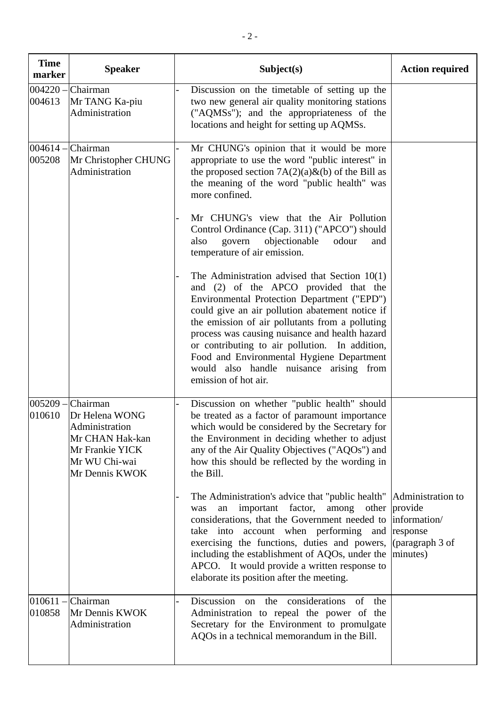| <b>Time</b><br>marker | <b>Speaker</b>                                                                                                        | Subject(s)                                                                                                                                                                                                                                                                                                                                                                                                                                                                                                                                                                                                                                                                                                                                                                                                                                                             | <b>Action required</b>                      |
|-----------------------|-----------------------------------------------------------------------------------------------------------------------|------------------------------------------------------------------------------------------------------------------------------------------------------------------------------------------------------------------------------------------------------------------------------------------------------------------------------------------------------------------------------------------------------------------------------------------------------------------------------------------------------------------------------------------------------------------------------------------------------------------------------------------------------------------------------------------------------------------------------------------------------------------------------------------------------------------------------------------------------------------------|---------------------------------------------|
| $004220 -$<br>004613  | Chairman<br>Mr TANG Ka-piu<br>Administration                                                                          | Discussion on the timetable of setting up the<br>two new general air quality monitoring stations<br>("AQMSs"); and the appropriateness of the<br>locations and height for setting up AQMSs.                                                                                                                                                                                                                                                                                                                                                                                                                                                                                                                                                                                                                                                                            |                                             |
| $004614 -$<br>005208  | Chairman<br>Mr Christopher CHUNG<br>Administration                                                                    | Mr CHUNG's opinion that it would be more<br>appropriate to use the word "public interest" in<br>the proposed section $7A(2)(a)\&(b)$ of the Bill as<br>the meaning of the word "public health" was<br>more confined.<br>Mr CHUNG's view that the Air Pollution<br>Control Ordinance (Cap. 311) ("APCO") should<br>govern<br>objectionable<br>odour<br>also<br>and<br>temperature of air emission.<br>The Administration advised that Section $10(1)$<br>and (2) of the APCO provided that the<br>Environmental Protection Department ("EPD")<br>could give an air pollution abatement notice if<br>the emission of air pollutants from a polluting<br>process was causing nuisance and health hazard<br>or contributing to air pollution. In addition,<br>Food and Environmental Hygiene Department<br>would also handle nuisance arising from<br>emission of hot air. |                                             |
| $005209 -$<br>010610  | Chairman<br>Dr Helena WONG<br>Administration<br>Mr CHAN Hak-kan<br>Mr Frankie YICK<br>Mr WU Chi-wai<br>Mr Dennis KWOK | Discussion on whether "public health" should<br>be treated as a factor of paramount importance<br>which would be considered by the Secretary for<br>the Environment in deciding whether to adjust<br>any of the Air Quality Objectives ("AQOs") and<br>how this should be reflected by the wording in<br>the Bill.<br>The Administration's advice that "public health"   Administration to<br>an important factor,<br>among other provide<br>was<br>considerations, that the Government needed to<br>take into account when performing and response<br>exercising the functions, duties and powers,<br>including the establishment of AQOs, under the<br>APCO. It would provide a written response to<br>elaborate its position after the meeting.                                                                                                                     | information/<br>(paragraph 3 of<br>minutes) |
| $010611 -$<br>010858  | Chairman<br>Mr Dennis KWOK<br>Administration                                                                          | Discussion on the considerations of the<br>Administration to repeal the power of the<br>Secretary for the Environment to promulgate<br>AQOs in a technical memorandum in the Bill.                                                                                                                                                                                                                                                                                                                                                                                                                                                                                                                                                                                                                                                                                     |                                             |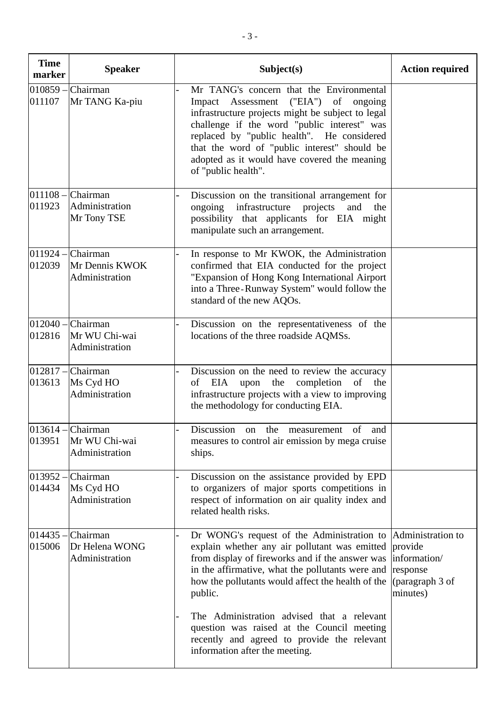| <b>Time</b><br>marker | <b>Speaker</b>                                          | Subject(s)                                                                                                                                                                                                                                                                                                                                                                                                                                                        | <b>Action required</b>                                             |
|-----------------------|---------------------------------------------------------|-------------------------------------------------------------------------------------------------------------------------------------------------------------------------------------------------------------------------------------------------------------------------------------------------------------------------------------------------------------------------------------------------------------------------------------------------------------------|--------------------------------------------------------------------|
| $010859 -$<br>011107  | Chairman<br>Mr TANG Ka-piu                              | Mr TANG's concern that the Environmental<br>Impact Assessment ("EIA")<br>of<br>ongoing<br>infrastructure projects might be subject to legal<br>challenge if the word "public interest" was<br>replaced by "public health". He considered<br>that the word of "public interest" should be<br>adopted as it would have covered the meaning<br>of "public health".                                                                                                   |                                                                    |
| 011923                | $011108$ – Chairman<br>Administration<br>Mr Tony TSE    | Discussion on the transitional arrangement for<br>infrastructure<br>ongoing<br>projects<br>and<br>the<br>possibility that applicants for EIA might<br>manipulate such an arrangement.                                                                                                                                                                                                                                                                             |                                                                    |
| 012039                | $011924$ – Chairman<br>Mr Dennis KWOK<br>Administration | In response to Mr KWOK, the Administration<br>confirmed that EIA conducted for the project<br>"Expansion of Hong Kong International Airport<br>into a Three-Runway System" would follow the<br>standard of the new AQOs.                                                                                                                                                                                                                                          |                                                                    |
| 012816                | $012040$ – Chairman<br>Mr WU Chi-wai<br>Administration  | Discussion on the representativeness of the<br>locations of the three roadside AQMSs.                                                                                                                                                                                                                                                                                                                                                                             |                                                                    |
| 013613                | $012817$ - Chairman<br>Ms Cyd HO<br>Administration      | Discussion on the need to review the accuracy<br>EIA<br>upon the<br>completion<br>of<br>of<br>the<br>infrastructure projects with a view to improving<br>the methodology for conducting EIA.                                                                                                                                                                                                                                                                      |                                                                    |
| 013614 -<br>013951    | Chairman<br>Mr WU Chi-wai<br>Administration             | Discussion on the measurement of and<br>measures to control air emission by mega cruise<br>ships.                                                                                                                                                                                                                                                                                                                                                                 |                                                                    |
| 013952<br>014434      | Chairman<br>Ms Cyd HO<br>Administration                 | Discussion on the assistance provided by EPD<br>to organizers of major sports competitions in<br>respect of information on air quality index and<br>related health risks.                                                                                                                                                                                                                                                                                         |                                                                    |
| 014435<br>015006      | Chairman<br>Dr Helena WONG<br>Administration            | Dr WONG's request of the Administration to Administration to<br>explain whether any air pollutant was emitted<br>from display of fireworks and if the answer was<br>in the affirmative, what the pollutants were and<br>how the pollutants would affect the health of the<br>public.<br>The Administration advised that a relevant<br>question was raised at the Council meeting<br>recently and agreed to provide the relevant<br>information after the meeting. | provide<br>information/<br>response<br>(paragraph 3 of<br>minutes) |